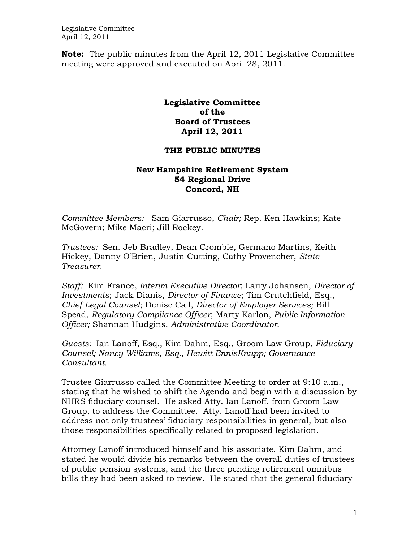Legislative Committee April 12, 2011

**Note:** The public minutes from the April 12, 2011 Legislative Committee meeting were approved and executed on April 28, 2011.

## **Legislative Committee of the Board of Trustees April 12, 2011**

## **THE PUBLIC MINUTES**

## **New Hampshire Retirement System 54 Regional Drive Concord, NH**

*Committee Members:* Sam Giarrusso, *Chair;* Rep. Ken Hawkins; Kate McGovern; Mike Macri; Jill Rockey*.* 

*Trustees:* Sen. Jeb Bradley, Dean Crombie, Germano Martins, Keith Hickey, Danny O'Brien, Justin Cutting, Cathy Provencher, *State Treasurer*.

*Staff:* Kim France, *Interim Executive Director*; Larry Johansen, *Director of Investments*; Jack Dianis, *Director of Finance*; Tim Crutchfield, Esq., *Chief Legal Counsel*; Denise Call, *Director of Employer Services;* Bill Spead, *Regulatory Compliance Officer*; Marty Karlon, *Public Information Officer;* Shannan Hudgins, *Administrative Coordinator*.

*Guests:* Ian Lanoff, Esq., Kim Dahm, Esq., Groom Law Group, *Fiduciary Counsel; Nancy Williams, Esq., Hewitt EnnisKnupp; Governance Consultant.* 

Trustee Giarrusso called the Committee Meeting to order at 9:10 a.m., stating that he wished to shift the Agenda and begin with a discussion by NHRS fiduciary counsel. He asked Atty. Ian Lanoff, from Groom Law Group, to address the Committee. Atty. Lanoff had been invited to address not only trustees' fiduciary responsibilities in general, but also those responsibilities specifically related to proposed legislation.

Attorney Lanoff introduced himself and his associate, Kim Dahm, and stated he would divide his remarks between the overall duties of trustees of public pension systems, and the three pending retirement omnibus bills they had been asked to review. He stated that the general fiduciary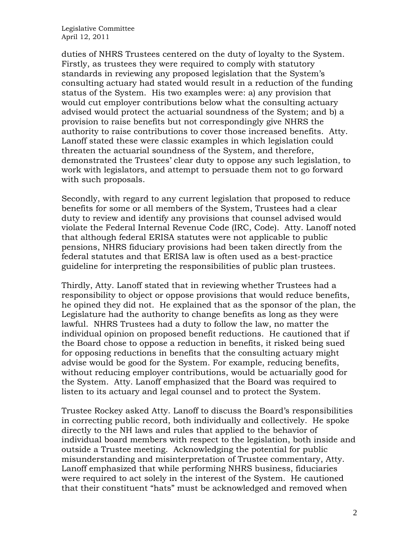Legislative Committee April 12, 2011

duties of NHRS Trustees centered on the duty of loyalty to the System. Firstly, as trustees they were required to comply with statutory standards in reviewing any proposed legislation that the System's consulting actuary had stated would result in a reduction of the funding status of the System. His two examples were: a) any provision that would cut employer contributions below what the consulting actuary advised would protect the actuarial soundness of the System; and b) a provision to raise benefits but not correspondingly give NHRS the authority to raise contributions to cover those increased benefits. Atty. Lanoff stated these were classic examples in which legislation could threaten the actuarial soundness of the System, and therefore, demonstrated the Trustees' clear duty to oppose any such legislation, to work with legislators, and attempt to persuade them not to go forward with such proposals.

Secondly, with regard to any current legislation that proposed to reduce benefits for some or all members of the System, Trustees had a clear duty to review and identify any provisions that counsel advised would violate the Federal Internal Revenue Code (IRC, Code). Atty. Lanoff noted that although federal ERISA statutes were not applicable to public pensions, NHRS fiduciary provisions had been taken directly from the federal statutes and that ERISA law is often used as a best-practice guideline for interpreting the responsibilities of public plan trustees.

Thirdly, Atty. Lanoff stated that in reviewing whether Trustees had a responsibility to object or oppose provisions that would reduce benefits, he opined they did not. He explained that as the sponsor of the plan, the Legislature had the authority to change benefits as long as they were lawful. NHRS Trustees had a duty to follow the law, no matter the individual opinion on proposed benefit reductions. He cautioned that if the Board chose to oppose a reduction in benefits, it risked being sued for opposing reductions in benefits that the consulting actuary might advise would be good for the System. For example, reducing benefits, without reducing employer contributions, would be actuarially good for the System. Atty. Lanoff emphasized that the Board was required to listen to its actuary and legal counsel and to protect the System.

Trustee Rockey asked Atty. Lanoff to discuss the Board's responsibilities in correcting public record, both individually and collectively. He spoke directly to the NH laws and rules that applied to the behavior of individual board members with respect to the legislation, both inside and outside a Trustee meeting. Acknowledging the potential for public misunderstanding and misinterpretation of Trustee commentary, Atty. Lanoff emphasized that while performing NHRS business, fiduciaries were required to act solely in the interest of the System. He cautioned that their constituent "hats" must be acknowledged and removed when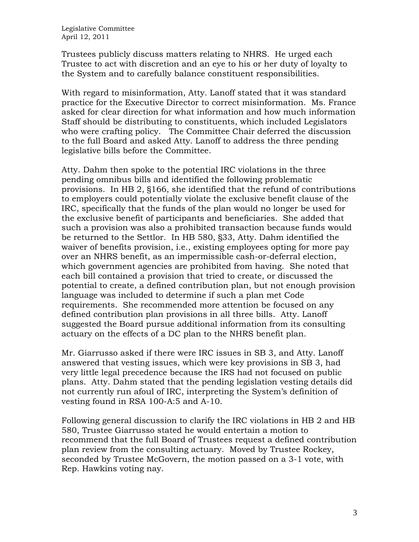Trustees publicly discuss matters relating to NHRS. He urged each Trustee to act with discretion and an eye to his or her duty of loyalty to the System and to carefully balance constituent responsibilities.

With regard to misinformation, Atty. Lanoff stated that it was standard practice for the Executive Director to correct misinformation. Ms. France asked for clear direction for what information and how much information Staff should be distributing to constituents, which included Legislators who were crafting policy. The Committee Chair deferred the discussion to the full Board and asked Atty. Lanoff to address the three pending legislative bills before the Committee.

Atty. Dahm then spoke to the potential IRC violations in the three pending omnibus bills and identified the following problematic provisions. In HB 2, §166, she identified that the refund of contributions to employers could potentially violate the exclusive benefit clause of the IRC, specifically that the funds of the plan would no longer be used for the exclusive benefit of participants and beneficiaries. She added that such a provision was also a prohibited transaction because funds would be returned to the Settlor. In HB 580, §33, Atty. Dahm identified the waiver of benefits provision, i.e., existing employees opting for more pay over an NHRS benefit, as an impermissible cash-or-deferral election, which government agencies are prohibited from having. She noted that each bill contained a provision that tried to create, or discussed the potential to create, a defined contribution plan, but not enough provision language was included to determine if such a plan met Code requirements. She recommended more attention be focused on any defined contribution plan provisions in all three bills. Atty. Lanoff suggested the Board pursue additional information from its consulting actuary on the effects of a DC plan to the NHRS benefit plan.

Mr. Giarrusso asked if there were IRC issues in SB 3, and Atty. Lanoff answered that vesting issues, which were key provisions in SB 3, had very little legal precedence because the IRS had not focused on public plans. Atty. Dahm stated that the pending legislation vesting details did not currently run afoul of IRC, interpreting the System's definition of vesting found in RSA 100-A:5 and A-10.

Following general discussion to clarify the IRC violations in HB 2 and HB 580, Trustee Giarrusso stated he would entertain a motion to recommend that the full Board of Trustees request a defined contribution plan review from the consulting actuary. Moved by Trustee Rockey, seconded by Trustee McGovern, the motion passed on a 3-1 vote, with Rep. Hawkins voting nay.